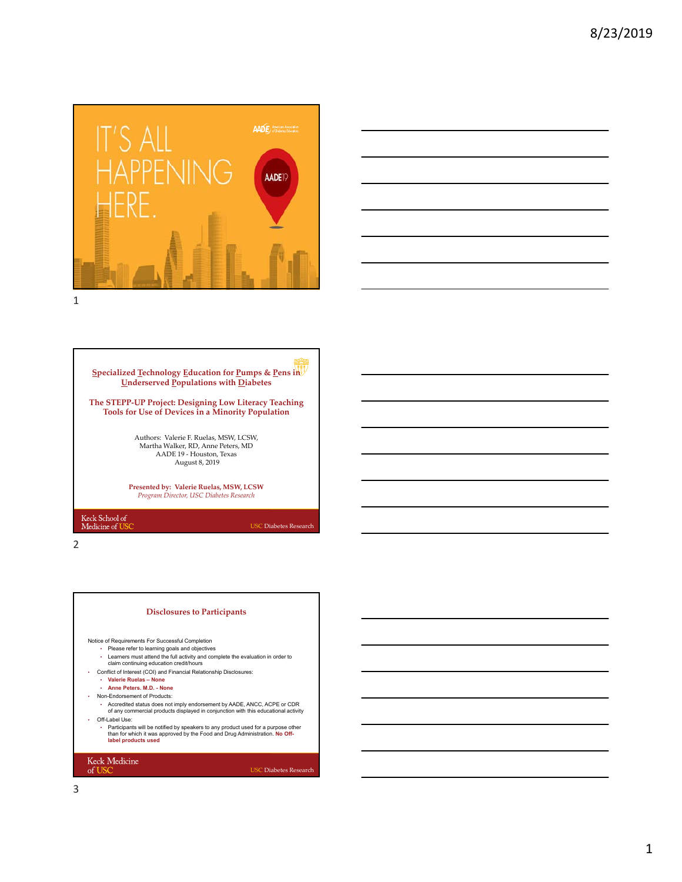





2

# **Disclosures to Participants**

Notice of Requirements For Successful Completion

- Please refer to learning goals and objectives Learners must attend the full activity and complete the evaluation in order to claim continuing education credit/hours
- 
- Conflict of Interest (COI) and Financial Relationship Disclosures: **Valerie Ruelas None**
	- **Anne Peters. M.D. None**
- Non-Endorsement of Products:
	- Accredited status does not imply endorsement by AADE, ANCC, ACPE or CDR of any commercial products displayed in conjunction with this educational activity
	- Off-Label Use: • Participants will be notified by speakers to any product used for a purpose other than for which it was approved by the Food and Drug Administration. **No Off-label products used**

### Keck Medicine of USC

USC Diabetes Research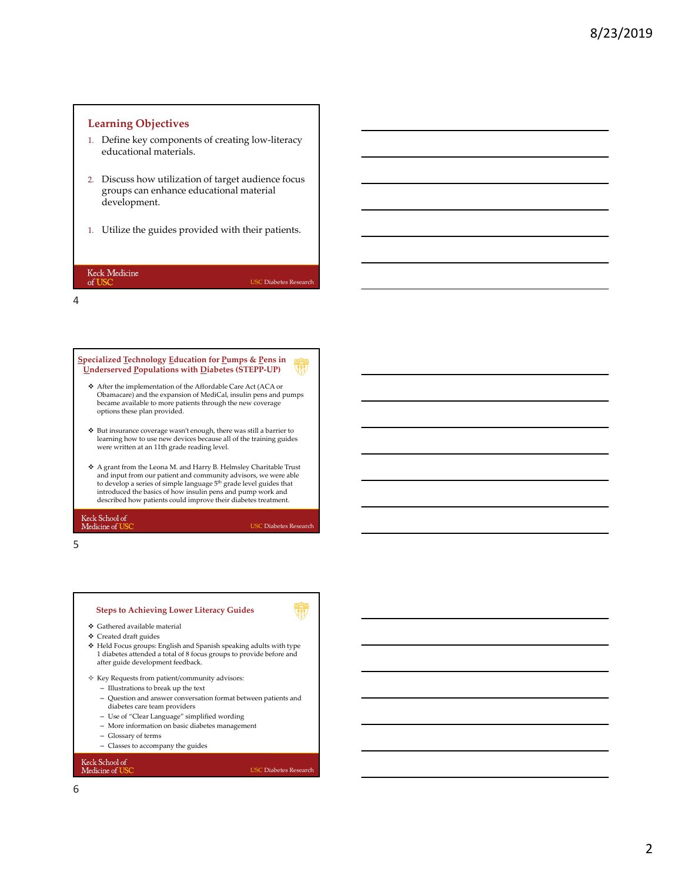# **Learning Objectives**

- 1. Define key components of creating low-literacy educational materials.
- 2. Discuss how utilization of target audience focus groups can enhance educational material development.
- 1. Utilize the guides provided with their patients.

## Keck Medicine of US

USC Diabetes Research

4



- After the implementation of the Affordable Care Act (ACA or Obamacare) and the expansion of MediCal, insulin pens and pumps became available to more patients through the new coverage options these plan provided.
- $\clubsuit~$  But insurance coverage wasn't enough, there was still a barrier to learning how to use new devices because all of the training guides were written at an 11th grade reading level.
- A grant from the Leona M. and Harry B. Helmsley Charitable Trust and input from our patient and community advisors, we were able to develop a series of simple language  $5^{\rm th}$  grade level guides that introduced the basics of how insulin pens and pump work and described how patients could improve their diabetes treatment.

Keck School of<br>Medicine of US

USC Diabetes Research

5

# **Steps to Achieving Lower Literacy Guides**

- $\spadesuit\,$  Gathered available material
- $\boldsymbol{\div}$  Created draft guides
- Held Focus groups: English and Spanish speaking adults with type 1 diabetes attended a total of 8 focus groups to provide before and after guide development feedback.
- $\diamond~$  Key Requests from patient/community advisors:
	- Illustrations to break up the text
	- Question and answer conversation format between patients and diabetes care team providers
	- Use of "Clear Language" simplified wording
	- More information on basic diabetes management
- Glossary of terms
- Classes to accompany the guides

Keck School of<br>Medicine of US

## USC Diabetes Research

6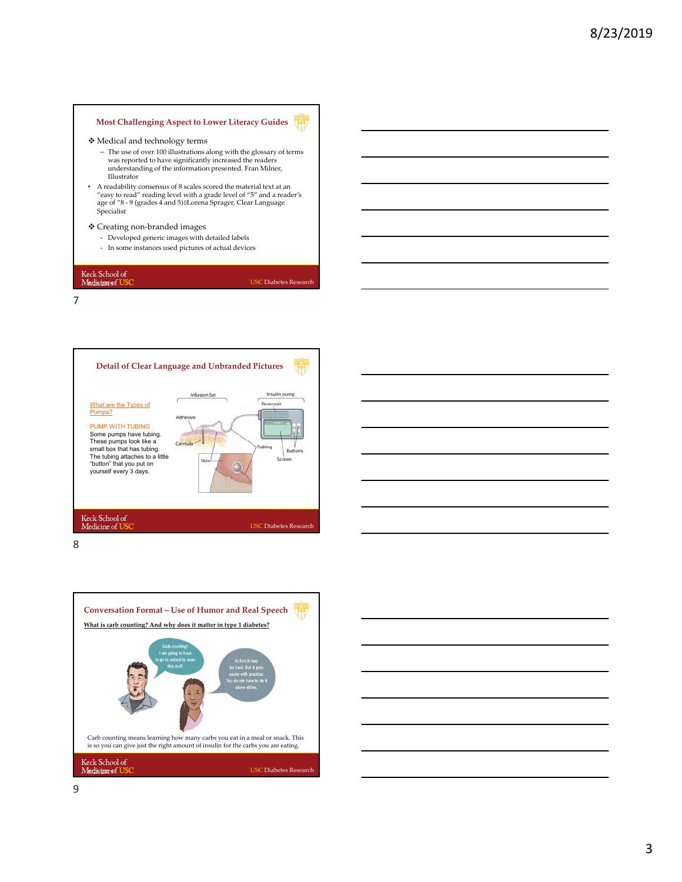#### **Most Challenging Aspect to Lower Literacy Guides** VII

- Medical and technology terms
	- The use of over 100 illustrations along with the glossary of terms was reported to have significantly increased the readers understanding of the information presented. Fran Milner, Illustrator
- A readability consensus of 8 scales scored the material text at an "easy to read" reading level with a grade level of "5" and a reader's age of "8 ‐ 9 (grades 4 and 5)Lorena Sprager, Clear Language Specialist

# Creating non‐branded images

- ‐ Developed generic images with detailed labels
- ‐ In some instances used pictures of actual devices

Keck School of<br>Medicine of US

7

"button" that you put on yourself every 3 days.

Keck School of<br>Medicine of US

**Detail of Clear Language and Unbranded Pictures** Insulin pump Infusion Set Reservoir What are the Types of Pumps? PUMP WITH TUBING Some pumps have tubing. These pumps look like a small box that has tubing. The tubing attaches to a little Cannula .<br>Fishin n



USC Diabetes Research

USC Diabetes Research



8





9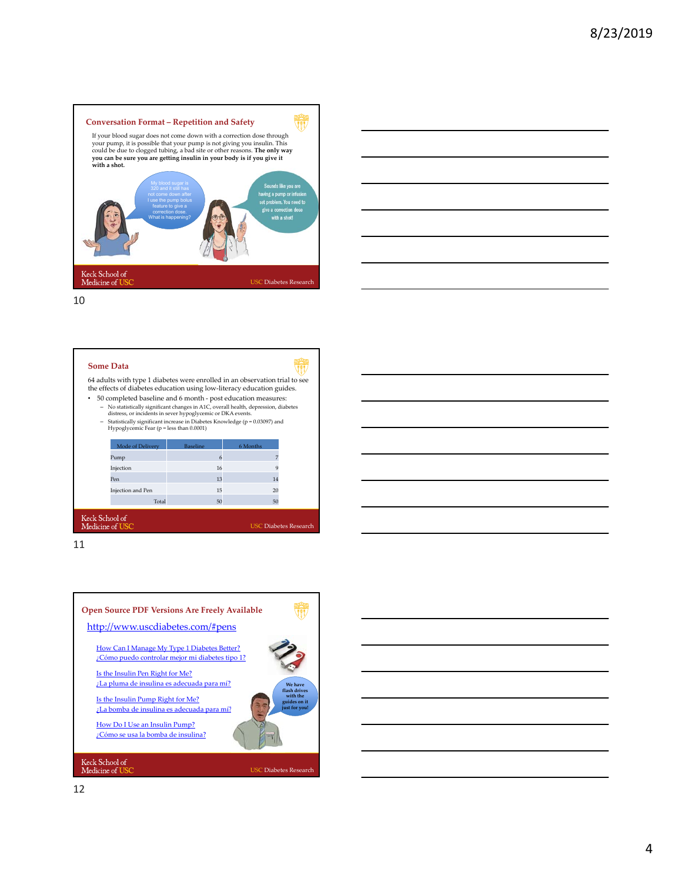



10

## **Some Data**

64 adults with type 1 diabetes were enrolled in an observation trial to see the effects of diabetes education using low‐literacy education guides.  $\bullet$   $\,$  50 completed baseline and 6 month - post education measures:

No statistically significant changes in A1C, overall health, depression, diabetes<br>distress, or incidents in sever hypoglycemic or DKA events.<br>Statistically significant increase in Diabetes Knowledge (p = 0.03097) and<br>Hypo

| Mode of Delivery                | <b>Baseline</b> | 6 Months                     |
|---------------------------------|-----------------|------------------------------|
| Pump                            | 6               |                              |
| Injection                       | 16              | 9                            |
| Pen                             | 13              | 14                           |
| Injection and Pen               | 15              | 20                           |
| Total                           | 50              | 50                           |
| $ck$ School of<br>dicine of USC |                 | <b>USC Diabetes Research</b> |

11

Ke<br>M